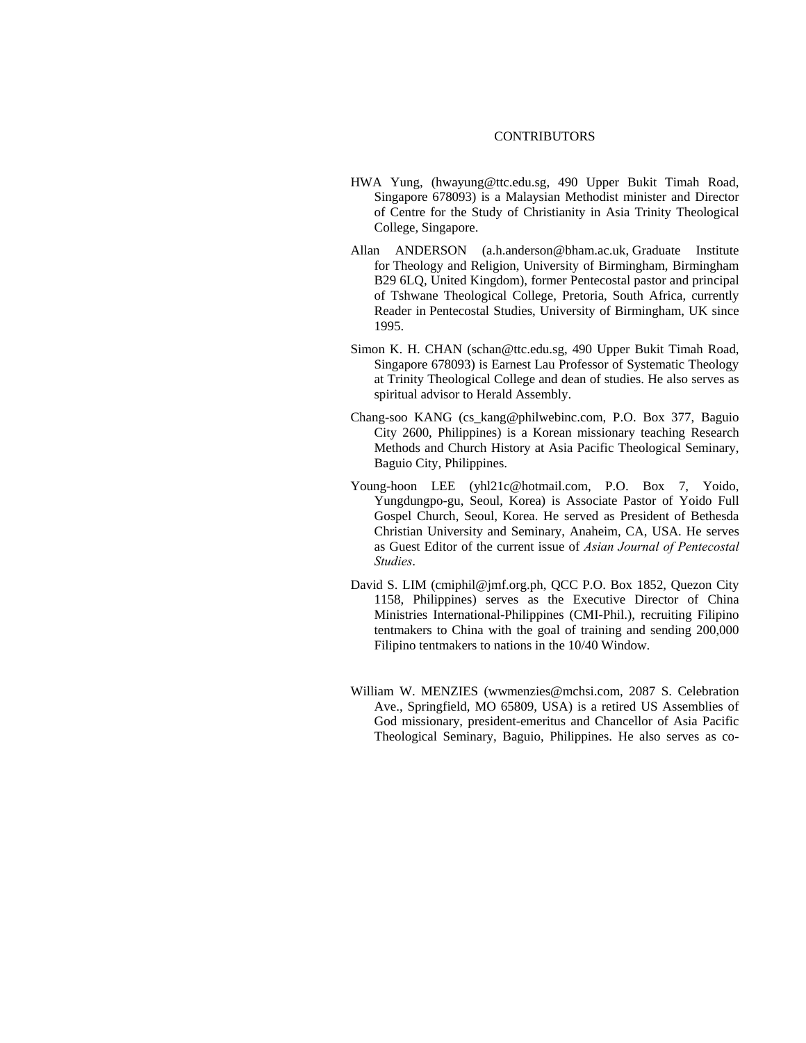## **CONTRIBUTORS**

- HWA Yung, (hwayung@ttc.edu.sg, 490 Upper Bukit Timah Road, Singapore 678093) is a Malaysian Methodist minister and Director of Centre for the Study of Christianity in Asia Trinity Theological College, Singapore.
- Allan ANDERSON ([a.h.anderson@bham.ac.uk,](mailto:a.h.anderson@bham.ac.uk) Graduate Institute for Theology and Religion, University of Birmingham, Birmingham B29 6LQ, United Kingdom), former Pentecostal pastor and principal of Tshwane Theological College, Pretoria, South Africa, currently Reader in Pentecostal Studies, University of Birmingham, UK since 1995.
- Simon K. H. CHAN [\(schan@ttc.edu.sg,](mailto:schan@ttc.edu.sg) 490 Upper Bukit Timah Road, Singapore 678093) is Earnest Lau Professor of Systematic Theology at Trinity Theological College and dean of studies. He also serves as spiritual advisor to Herald Assembly.
- Chang-soo KANG (cs\_kang@philwebinc.com, P.O. Box 377, Baguio City 2600, Philippines) is a Korean missionary teaching Research Methods and Church History at Asia Pacific Theological Seminary, Baguio City, Philippines.
- Young-hoon LEE (yhl21c@hotmail.com, P.O. Box 7, Yoido, Yungdungpo-gu, Seoul, Korea) is Associate Pastor of Yoido Full Gospel Church, Seoul, Korea. He served as President of Bethesda Christian University and Seminary, Anaheim, CA, USA. He serves as Guest Editor of the current issue of *Asian Journal of Pentecostal Studies*.
- David S. LIM (cmiphil@jmf.org.ph, QCC P.O. Box 1852, Quezon City 1158, Philippines) serves as the Executive Director of China Ministries International-Philippines (CMI-Phil.), recruiting Filipino tentmakers to China with the goal of training and sending 200,000 Filipino tentmakers to nations in the 10/40 Window.
- William W. MENZIES (wwmenzies@mchsi.com, 2087 S. Celebration Ave., Springfield, MO 65809, USA) is a retired US Assemblies of God missionary, president-emeritus and Chancellor of Asia Pacific Theological Seminary, Baguio, Philippines. He also serves as co-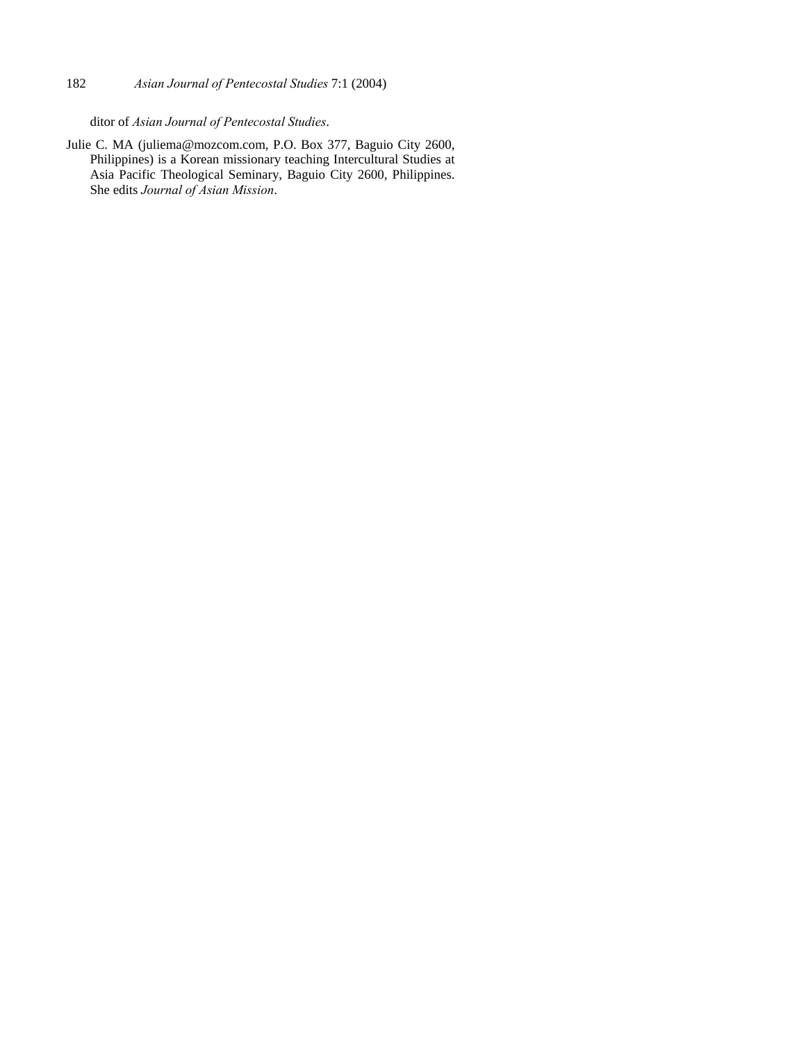## 182 *Asian Journal of Pentecostal Studies* 7:1 (2004)

ditor of *Asian Journal of Pentecostal Studies*.

Julie C. MA [\(juliema@mozcom.com,](mailto:juliema@mozcom.com) P.O. Box 377, Baguio City 2600, Philippines) is a Korean missionary teaching Intercultural Studies at Asia Pacific Theological Seminary, Baguio City 2600, Philippines. She edits *Journal of Asian Mission*.